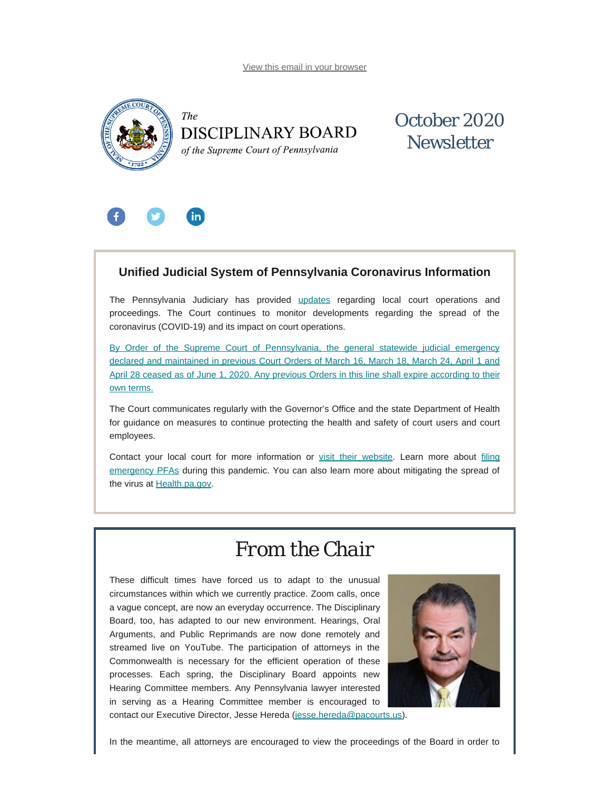[View this email in your browser](#page-0-0)

<span id="page-0-0"></span>



## October 2020 **Newsletter**



### **Unified Judicial System of Pennsylvania Coronavirus Information**

The Pennsylvania Judiciary has provided [updates](http://www.pacourts.us/ujs-coronavirus-information) regarding local court operations and proceedings. The Court continues to monitor developments regarding the spread of the coronavirus (COVID-19) and its impact on court operations.

[By Order of the Supreme Court of Pennsylvania, the general statewide judicial emergency](http://www.pacourts.us/assets/files/page-1305/file-9376.pdf) [declared and maintained in previous Court Orders of March 16, March 18, March 24, April 1 and](http://www.pacourts.us/assets/files/page-1305/file-9376.pdf) [April 28 ceased as of June 1, 2020. Any previous Orders in this line shall expire according to their](http://www.pacourts.us/assets/files/page-1305/file-9376.pdf) [own terms.](http://www.pacourts.us/assets/files/page-1305/file-9376.pdf)

The Court communicates regularly with the Governor's Office and the state Department of Health for guidance on measures to continue protecting the health and safety of court users and court employees.

Contact your local court for more information or [visit their website.](http://www.pacourts.us/courts/courts-of-common-pleas/) Learn more about [filing](http://www.pacourts.us/learn/protection-orders) [emergency PFAs](http://www.pacourts.us/learn/protection-orders) during this pandemic. You can also learn more about mitigating the spread of the virus at [Health.pa.gov.](https://www.health.pa.gov/topics/disease/Pages/Coronavirus.aspx)

## *From the Chair*

These difficult times have forced us to adapt to the unusual circumstances within which we currently practice. Zoom calls, once a vague concept, are now an everyday occurrence. The Disciplinary Board, too, has adapted to our new environment. Hearings, Oral Arguments, and Public Reprimands are now done remotely and streamed live on YouTube. The participation of attorneys in the Commonwealth is necessary for the efficient operation of these processes. Each spring, the Disciplinary Board appoints new Hearing Committee members. Any Pennsylvania lawyer interested in serving as a Hearing Committee member is encouraged to contact our Executive Director, Jesse Hereda ([jesse.hereda@pacourts.us](mailto:jesse.hereda@pacourts.us)).



In the meantime, all attorneys are encouraged to view the proceedings of the Board in order to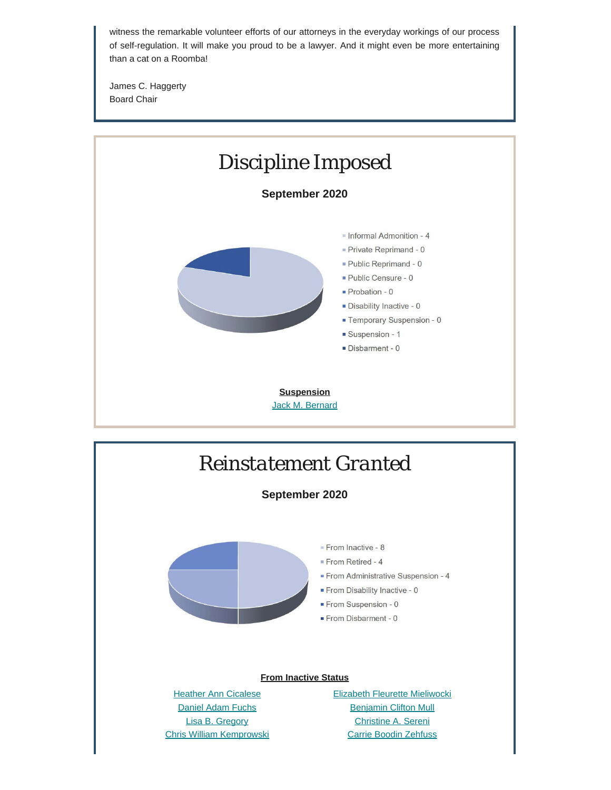witness the remarkable volunteer efforts of our attorneys in the everyday workings of our process of self-regulation. It will make you proud to be a lawyer. And it might even be more entertaining than a cat on a Roomba!

James C. Haggerty Board Chair



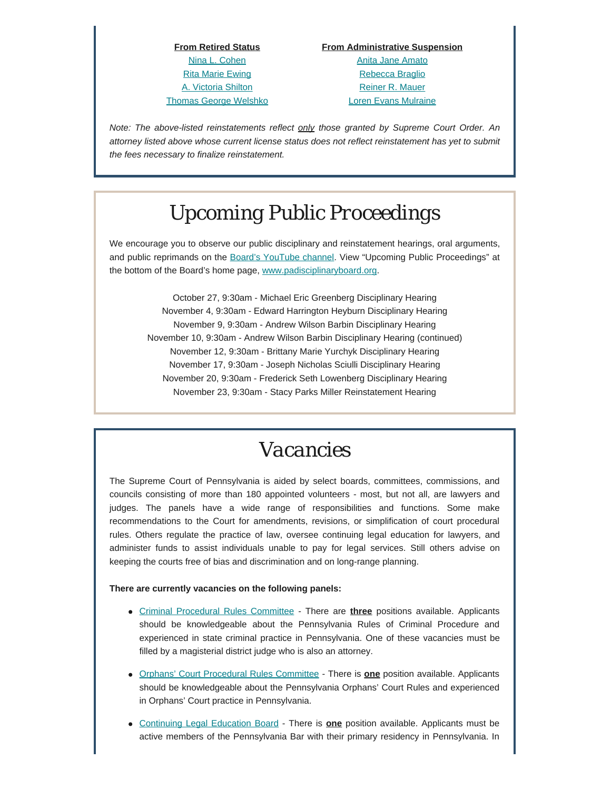**From Retired Status** [Nina L. Cohen](https://www.padisciplinaryboard.org/for-the-public/find-attorney/attorney-detail/47976) [Rita Marie Ewing](https://www.padisciplinaryboard.org/for-the-public/find-attorney/attorney-detail/68294) [A. Victoria Shilton](https://www.padisciplinaryboard.org/for-the-public/find-attorney/attorney-detail/69992) [Thomas George Welshko](https://www.padisciplinaryboard.org/for-the-public/find-attorney/attorney-detail/41693)

#### **From Administrative Suspension**

[Anita Jane Amato](https://www.padisciplinaryboard.org/for-the-public/find-attorney/attorney-detail/55620) [Rebecca Braglio](https://www.padisciplinaryboard.org/for-the-public/find-attorney/attorney-detail/84554) [Reiner R. Mauer](https://www.padisciplinaryboard.org/for-the-public/find-attorney/attorney-detail/67052) [Loren Evans Mulraine](https://www.padisciplinaryboard.org/for-the-public/find-attorney/attorney-detail/62562)

*Note: The above-listed reinstatements reflect only those granted by Supreme Court Order. An attorney listed above whose current license status does not reflect reinstatement has yet to submit the fees necessary to finalize reinstatement.*

# *Upcoming Public Proceedings*

We encourage you to observe our public disciplinary and reinstatement hearings, oral arguments, and public reprimands on the [Board's YouTube channel.](https://www.youtube.com/channel/UC7Rzfgcm91b2y3TRTXAViHw) View "Upcoming Public Proceedings" at the bottom of the Board's home page, [www.padisciplinaryboard.org.](https://www.padisciplinaryboard.org/)

October 27, 9:30am - Michael Eric Greenberg Disciplinary Hearing November 4, 9:30am - Edward Harrington Heyburn Disciplinary Hearing November 9, 9:30am - Andrew Wilson Barbin Disciplinary Hearing November 10, 9:30am - Andrew Wilson Barbin Disciplinary Hearing (continued) November 12, 9:30am - Brittany Marie Yurchyk Disciplinary Hearing November 17, 9:30am - Joseph Nicholas Sciulli Disciplinary Hearing November 20, 9:30am - Frederick Seth Lowenberg Disciplinary Hearing November 23, 9:30am - Stacy Parks Miller Reinstatement Hearing

## *Vacancies*

The Supreme Court of Pennsylvania is aided by select boards, committees, commissions, and councils consisting of more than 180 appointed volunteers - most, but not all, are lawyers and judges. The panels have a wide range of responsibilities and functions. Some make recommendations to the Court for amendments, revisions, or simplification of court procedural rules. Others regulate the practice of law, oversee continuing legal education for lawyers, and administer funds to assist individuals unable to pay for legal services. Still others advise on keeping the courts free of bias and discrimination and on long-range planning.

#### **There are currently vacancies on the following panels:**

- [Criminal Procedural Rules Committee](http://www.pacourts.us/courts/supreme-court/committees/rules-committees/criminal-procedural-rules-committee) There are **three** positions available. Applicants should be knowledgeable about the Pennsylvania Rules of Criminal Procedure and experienced in state criminal practice in Pennsylvania. One of these vacancies must be filled by a magisterial district judge who is also an attorney.
- **[Orphans' Court Procedural Rules Committee](http://www.pacourts.us/courts/supreme-court/committees/rules-committees/orphans-court-procedural-rules-committee) There is <b>one** position available. Applicants should be knowledgeable about the Pennsylvania Orphans' Court Rules and experienced in Orphans' Court practice in Pennsylvania.
- [Continuing Legal Education Board](https://www.pacle.org/) There is **one** position available. Applicants must be active members of the Pennsylvania Bar with their primary residency in Pennsylvania. In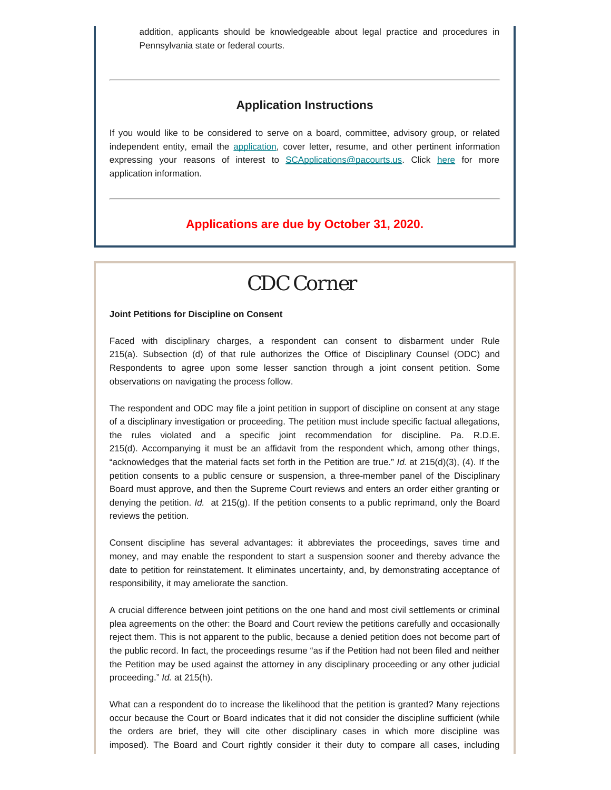addition, applicants should be knowledgeable about legal practice and procedures in Pennsylvania state or federal courts.

### **Application Instructions**

If you would like to be considered to serve on a board, committee, advisory group, or related independent entity, email the [application](http://www.pacourts.us/assets/files/setting-1943/file-58.pdf?cb=178bf0), cover letter, resume, and other pertinent information expressing your reasons of interest to [SCApplications@pacourts.us](mailto:SCApplications@pacourts.us). Click [here](http://www.pacourts.us/courts/supreme-court/committees/) for more application information.

### **Applications are due by October 31, 2020.**

## *CDC Corner*

#### **Joint Petitions for Discipline on Consent**

Faced with disciplinary charges, a respondent can consent to disbarment under Rule 215(a). Subsection (d) of that rule authorizes the Office of Disciplinary Counsel (ODC) and Respondents to agree upon some lesser sanction through a joint consent petition. Some observations on navigating the process follow.

The respondent and ODC may file a joint petition in support of discipline on consent at any stage of a disciplinary investigation or proceeding. The petition must include specific factual allegations, the rules violated and a specific joint recommendation for discipline. Pa. R.D.E. 215(d). Accompanying it must be an affidavit from the respondent which, among other things, "acknowledges that the material facts set forth in the Petition are true." *Id.* at 215(d)(3), (4). If the petition consents to a public censure or suspension, a three-member panel of the Disciplinary Board must approve, and then the Supreme Court reviews and enters an order either granting or denying the petition. *Id.* at 215(g). If the petition consents to a public reprimand, only the Board reviews the petition.

Consent discipline has several advantages: it abbreviates the proceedings, saves time and money, and may enable the respondent to start a suspension sooner and thereby advance the date to petition for reinstatement. It eliminates uncertainty, and, by demonstrating acceptance of responsibility, it may ameliorate the sanction.

A crucial difference between joint petitions on the one hand and most civil settlements or criminal plea agreements on the other: the Board and Court review the petitions carefully and occasionally reject them. This is not apparent to the public, because a denied petition does not become part of the public record. In fact, the proceedings resume "as if the Petition had not been filed and neither the Petition may be used against the attorney in any disciplinary proceeding or any other judicial proceeding." *Id.* at 215(h).

What can a respondent do to increase the likelihood that the petition is granted? Many rejections occur because the Court or Board indicates that it did not consider the discipline sufficient (while the orders are brief, they will cite other disciplinary cases in which more discipline was imposed). The Board and Court rightly consider it their duty to compare all cases, including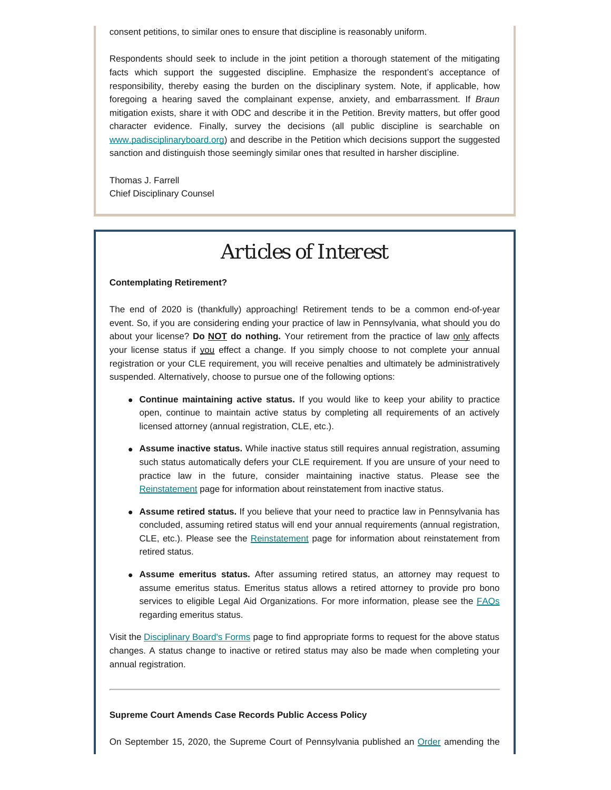consent petitions, to similar ones to ensure that discipline is reasonably uniform.

Respondents should seek to include in the joint petition a thorough statement of the mitigating facts which support the suggested discipline. Emphasize the respondent's acceptance of responsibility, thereby easing the burden on the disciplinary system. Note, if applicable, how foregoing a hearing saved the complainant expense, anxiety, and embarrassment. If *Braun* mitigation exists, share it with ODC and describe it in the Petition. Brevity matters, but offer good character evidence. Finally, survey the decisions (all public discipline is searchable on [www.padisciplinaryboard.org\)](http://www.padisciplinaryboard.org/) and describe in the Petition which decisions support the suggested sanction and distinguish those seemingly similar ones that resulted in harsher discipline.

Thomas J. Farrell Chief Disciplinary Counsel

# *Articles of Interest*

#### **Contemplating Retirement?**

The end of 2020 is (thankfully) approaching! Retirement tends to be a common end-of-year event. So, if you are considering ending your practice of law in Pennsylvania, what should you do about your license? **Do NOT do nothing.** Your retirement from the practice of law only affects your license status if you effect a change. If you simply choose to not complete your annual registration or your CLE requirement, you will receive penalties and ultimately be administratively suspended. Alternatively, choose to pursue one of the following options:

- **Continue maintaining active status.** If you would like to keep your ability to practice open, continue to maintain active status by completing all requirements of an actively licensed attorney (annual registration, CLE, etc.).
- **Assume inactive status.** While inactive status still requires annual registration, assuming such status automatically defers your CLE requirement. If you are unsure of your need to practice law in the future, consider maintaining inactive status. Please see the [Reinstatement](https://www.padisciplinaryboard.org/for-attorneys/reinstatement) page for information about reinstatement from inactive status.
- **Assume retired status.** If you believe that your need to practice law in Pennsylvania has concluded, assuming retired status will end your annual requirements (annual registration, CLE, etc.). Please see the [Reinstatement](https://www.padisciplinaryboard.org/for-attorneys/reinstatement) page for information about reinstatement from retired status.
- **Assume emeritus status.** After assuming retired status, an attorney may request to assume emeritus status. Emeritus status allows a retired attorney to provide pro bono services to eligible Legal Aid Organizations. For more information, please see the [FAQs](https://www.padisciplinaryboard.org/for-attorneys/resources/#Emeritus) regarding emeritus status.

Visit the [Disciplinary Board's Forms](https://www.padisciplinaryboard.org/for-attorneys/forms) page to find appropriate forms to request for the above status changes. A status change to inactive or retired status may also be made when completing your annual registration.

**Supreme Court Amends Case Records Public Access Policy**

On September 15, 2020, the Supreme Court of Pennsylvania published an [Order](http://www.pacodeandbulletin.gov/Display/pabull?file=/secure/pabulletin/data/vol50/50-39/1301.html) amending the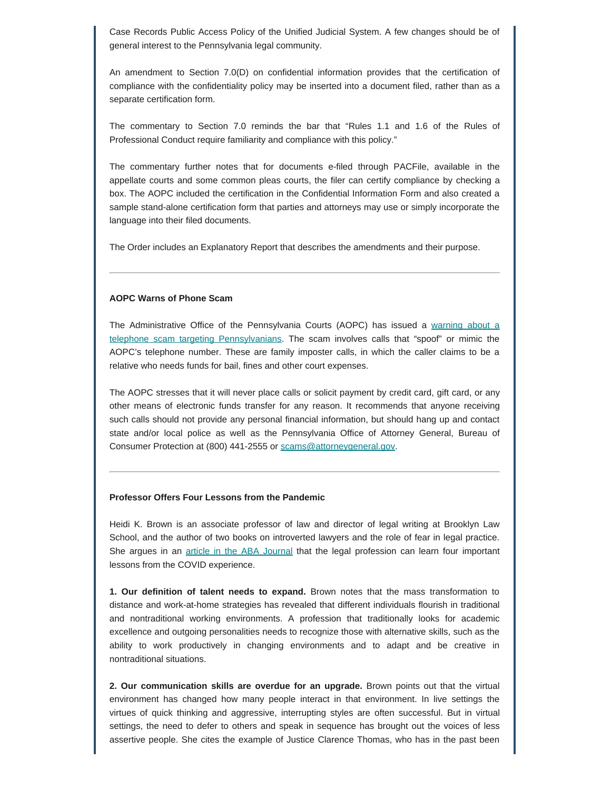Case Records Public Access Policy of the Unified Judicial System. A few changes should be of general interest to the Pennsylvania legal community.

An amendment to Section 7.0(D) on confidential information provides that the certification of compliance with the confidentiality policy may be inserted into a document filed, rather than as a separate certification form.

The commentary to Section 7.0 reminds the bar that "Rules 1.1 and 1.6 of the Rules of Professional Conduct require familiarity and compliance with this policy."

The commentary further notes that for documents e-filed through PACFile, available in the appellate courts and some common pleas courts, the filer can certify compliance by checking a box. The AOPC included the certification in the Confidential Information Form and also created a sample stand-alone certification form that parties and attorneys may use or simply incorporate the language into their filed documents.

The Order includes an Explanatory Report that describes the amendments and their purpose.

#### **AOPC Warns of Phone Scam**

The Administrative Office of the Pennsylvania Courts (AOPC) has issued a [warning about a](http://www.pacourts.us/news-and-statistics/news?Article=1038) [telephone scam targeting Pennsylvanians.](http://www.pacourts.us/news-and-statistics/news?Article=1038) The scam involves calls that "spoof" or mimic the AOPC's telephone number. These are family imposter calls, in which the caller claims to be a relative who needs funds for bail, fines and other court expenses.

The AOPC stresses that it will never place calls or solicit payment by credit card, gift card, or any other means of electronic funds transfer for any reason. It recommends that anyone receiving such calls should not provide any personal financial information, but should hang up and contact state and/or local police as well as the Pennsylvania Office of Attorney General, Bureau of Consumer Protection at (800) 441-2555 or [scams@attorneygeneral.gov](mailto:scams@attorneygeneral.gov).

#### **Professor Offers Four Lessons from the Pandemic**

Heidi K. Brown is an associate professor of law and director of legal writing at Brooklyn Law School, and the author of two books on introverted lawyers and the role of fear in legal practice. She argues in an [article in the ABA Journal](https://www.abajournal.com/magazine/article/four-lessons-we-can-learn-as-a-profession-from-the-pandemic) that the legal profession can learn four important lessons from the COVID experience.

**1. Our definition of talent needs to expand.** Brown notes that the mass transformation to distance and work-at-home strategies has revealed that different individuals flourish in traditional and nontraditional working environments. A profession that traditionally looks for academic excellence and outgoing personalities needs to recognize those with alternative skills, such as the ability to work productively in changing environments and to adapt and be creative in nontraditional situations.

**2. Our communication skills are overdue for an upgrade.** Brown points out that the virtual environment has changed how many people interact in that environment. In live settings the virtues of quick thinking and aggressive, interrupting styles are often successful. But in virtual settings, the need to defer to others and speak in sequence has brought out the voices of less assertive people. She cites the example of Justice Clarence Thomas, who has in the past been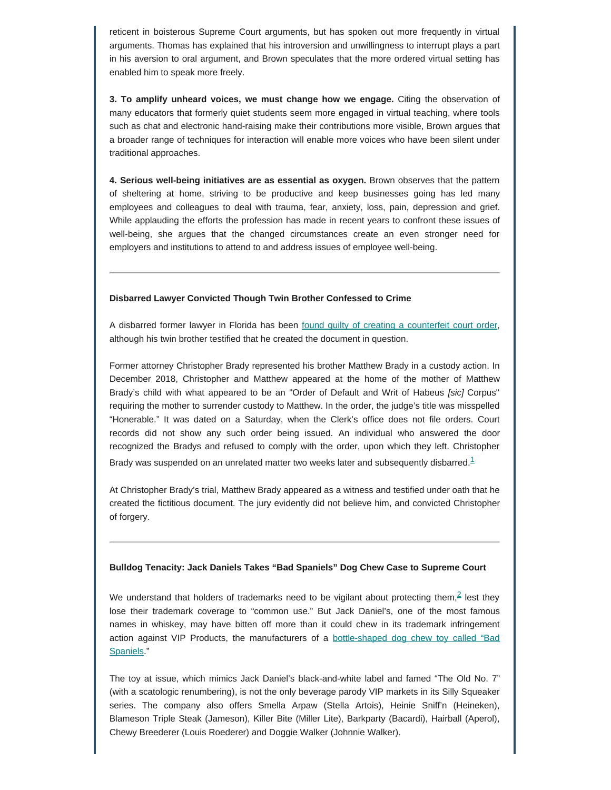reticent in boisterous Supreme Court arguments, but has spoken out more frequently in virtual arguments. Thomas has explained that his introversion and unwillingness to interrupt plays a part in his aversion to oral argument, and Brown speculates that the more ordered virtual setting has enabled him to speak more freely.

**3. To amplify unheard voices, we must change how we engage.** Citing the observation of many educators that formerly quiet students seem more engaged in virtual teaching, where tools such as chat and electronic hand-raising make their contributions more visible, Brown argues that a broader range of techniques for interaction will enable more voices who have been silent under traditional approaches.

**4. Serious well-being initiatives are as essential as oxygen.** Brown observes that the pattern of sheltering at home, striving to be productive and keep businesses going has led many employees and colleagues to deal with trauma, fear, anxiety, loss, pain, depression and grief. While applauding the efforts the profession has made in recent years to confront these issues of well-being, she argues that the changed circumstances create an even stronger need for employers and institutions to attend to and address issues of employee well-being.

#### **Disbarred Lawyer Convicted Though Twin Brother Confessed to Crime**

A disbarred former lawyer in Florida has been [found guilty of creating a counterfeit court order,](https://www.heraldtribune.com/story/news/crime/2020/09/23/disbarred-englewood-attorney-convicted-of-forgery-charges-after-his-twin-claims-guilt/3496134001/) although his twin brother testified that he created the document in question.

Former attorney Christopher Brady represented his brother Matthew Brady in a custody action. In December 2018, Christopher and Matthew appeared at the home of the mother of Matthew Brady's child with what appeared to be an "Order of Default and Writ of Habeus *[sic]* Corpus" requiring the mother to surrender custody to Matthew. In the order, the judge's title was misspelled "Honerable." It was dated on a Saturday, when the Clerk's office does not file orders. Court records did not show any such order being issued. An individual who answered the door recognized the Bradys and refused to comply with the order, upon which they left. Christopher Brady was suspended on an unrelated matter two weeks later and subsequently disbarred. $1$ 

<span id="page-6-0"></span>At Christopher Brady's trial, Matthew Brady appeared as a witness and testified under oath that he created the fictitious document. The jury evidently did not believe him, and convicted Christopher of forgery.

#### **Bulldog Tenacity: Jack Daniels Takes "Bad Spaniels" Dog Chew Case to Supreme Court**

<span id="page-6-1"></span>We understand that holders of trademarks need to be vigilant about protecting them,<sup>[2](#page-7-1)</sup> lest they lose their trademark coverage to "common use." But Jack Daniel's, one of the most famous names in whiskey, may have bitten off more than it could chew in its trademark infringement action against VIP Products, the manufacturers of a [bottle-shaped dog chew toy called "Bad](https://www.thedrinksbusiness.com/2020/09/jack-daniels-takes-dog-toy-to-court-over-trademark-infringement/) [Spaniels.](https://www.thedrinksbusiness.com/2020/09/jack-daniels-takes-dog-toy-to-court-over-trademark-infringement/)"

The toy at issue, which mimics Jack Daniel's black-and-white label and famed "The Old No. 7" (with a scatologic renumbering), is not the only beverage parody VIP markets in its Silly Squeaker series. The company also offers Smella Arpaw (Stella Artois), Heinie Sniff'n (Heineken), Blameson Triple Steak (Jameson), Killer Bite (Miller Lite), Barkparty (Bacardi), Hairball (Aperol), Chewy Breederer (Louis Roederer) and Doggie Walker (Johnnie Walker).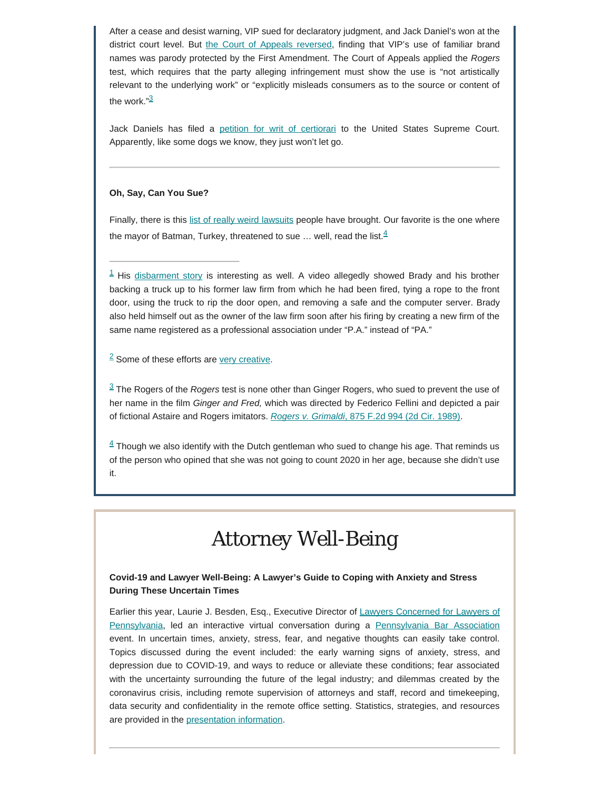After a cease and desist warning, VIP sued for declaratory judgment, and Jack Daniel's won at the district court level. But [the Court of Appeals reversed](https://law.justia.com/cases/federal/appellate-courts/ca9/18-16012/18-16012-2020-03-31.html), finding that VIP's use of familiar brand names was parody protected by the First Amendment. The Court of Appeals applied the *Rogers* test, which requires that the party alleging infringement must show the use is "not artistically relevant to the underlying work" or "explicitly misleads consumers as to the source or content of the work. $\frac{n3}{2}$  $\frac{n3}{2}$  $\frac{n3}{2}$ 

<span id="page-7-4"></span>Jack Daniels has filed a [petition for writ of certiorari](https://www.techdirt.com/articles/20200923/08465345365/woof-jack-daniels-takes-fight-over-doggy-chew-toy-to-supreme-court.shtml) to the United States Supreme Court. Apparently, like some dogs we know, they just won't let go.

#### **Oh, Say, Can You Sue?**

<span id="page-7-5"></span>Finally, there is this [list of really weird lawsuits](https://www.usatoday.com/story/money/2020/02/03/25-really-weird-lawsuits-you-wouldnt-believe-were-ever-filed/41083385/) people have brought. Our favorite is the one where the mayor of Batman, Turkey, threatened to sue  $\ldots$  well, read the list.  $4$ 

<span id="page-7-0"></span> $1$  His [disbarment story](https://www.abajournal.com/news/article/lawyer-is-disbarred-after-breaking-into-his-former-law-firm-he-blamed-a-punctuation-problem) is interesting as well. A video allegedly showed Brady and his brother backing a truck up to his former law firm from which he had been fired, tying a rope to the front door, using the truck to rip the door open, and removing a safe and the computer server. Brady also held himself out as the owner of the law firm soon after his firing by creating a new firm of the same name registered as a professional association under "P.A." instead of "PA."

<span id="page-7-1"></span> $2$  Some of these efforts are [very creative](https://www.youtube.com/watch?v=rRi8LptvFZY).

<span id="page-7-2"></span>[3](#page-7-4) The Rogers of the *Rogers* test is none other than Ginger Rogers, who sued to prevent the use of her name in the film *Ginger and Fred,* which was directed by Federico Fellini and depicted a pair of fictional Astaire and Rogers imitators. *[Rogers v. Grimaldi](https://law.justia.com/cases/federal/appellate-courts/F2/875/994/179970/)*[, 875 F.2d 994 \(2d Cir. 1989\)](https://law.justia.com/cases/federal/appellate-courts/F2/875/994/179970/).

<span id="page-7-3"></span> $4$  Though we also identify with the Dutch gentleman who sued to change his age. That reminds us of the person who opined that she was not going to count 2020 in her age, because she didn't use it.

# *Attorney Well-Being*

#### **Covid-19 and Lawyer Well-Being: A Lawyer's Guide to Coping with Anxiety and Stress During These Uncertain Times**

Earlier this year, Laurie J. Besden, Esq., Executive Director of [Lawyers Concerned for Lawyers of](https://www.lclpa.org/) [Pennsylvania](https://www.lclpa.org/), led an interactive virtual conversation during a [Pennsylvania Bar Association](https://www.pabar.org/site/) event. In uncertain times, anxiety, stress, fear, and negative thoughts can easily take control. Topics discussed during the event included: the early warning signs of anxiety, stress, and depression due to COVID-19, and ways to reduce or alleviate these conditions; fear associated with the uncertainty surrounding the future of the legal industry; and dilemmas created by the coronavirus crisis, including remote supervision of attorneys and staff, record and timekeeping, data security and confidentiality in the remote office setting. Statistics, strategies, and resources are provided in the [presentation information](https://www.lclpa.org/wp-content/uploads/2020/04/Coronavirus-and-Lawyer-Wellbeing-1.pdf).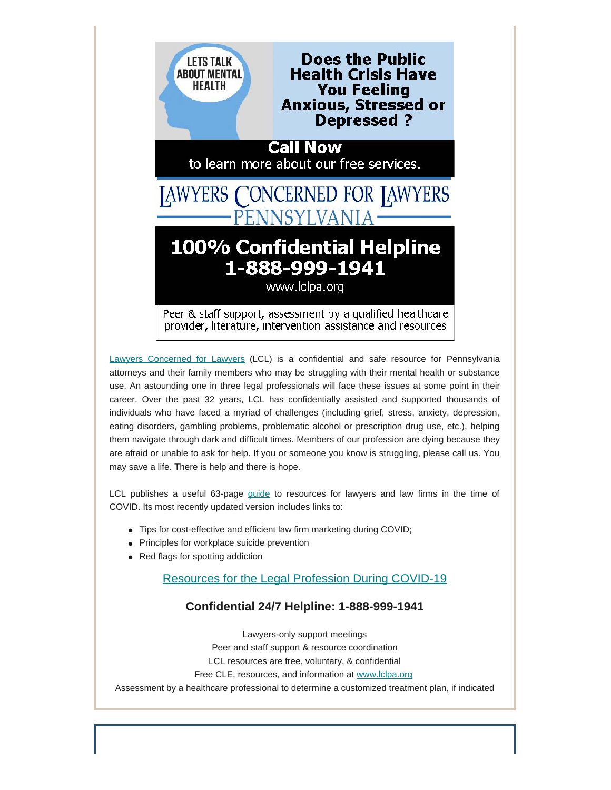

[Lawyers Concerned for Lawyers](https://www.lclpa.org/) (LCL) is a confidential and safe resource for Pennsylvania attorneys and their family members who may be struggling with their mental health or substance use. An astounding one in three legal professionals will face these issues at some point in their career. Over the past 32 years, LCL has confidentially assisted and supported thousands of individuals who have faced a myriad of challenges (including grief, stress, anxiety, depression, eating disorders, gambling problems, problematic alcohol or prescription drug use, etc.), helping them navigate through dark and difficult times. Members of our profession are dying because they are afraid or unable to ask for help. If you or someone you know is struggling, please call us. You may save a life. There is help and there is hope.

LCL publishes a useful 63-page [guide](https://www.lclpa.org/wp-content/uploads/2020/09/COVID-19-Resources-UPDATE-LCL-PA-September-15-2020-for-gen.-distr..pdf) to resources for lawyers and law firms in the time of COVID. Its most recently updated version includes links to:

- Tips for cost-effective and efficient law firm marketing during COVID;
- Principles for workplace suicide prevention
- Red flags for spotting addiction

### [Resources for the Legal Profession During COVID-19](https://www.lclpa.org/wp-content/uploads/2020/09/COVID-19-Resources-UPDATE-LCL-PA-September-15-2020-for-gen.-distr..pdf)

### **Confidential 24/7 Helpline: 1-888-999-1941**

Lawyers-only support meetings Peer and staff support & resource coordination LCL resources are free, voluntary, & confidential Free CLE, resources, and information at [www.lclpa.org](https://www.lclpa.org/) Assessment by a healthcare professional to determine a customized treatment plan, if indicated